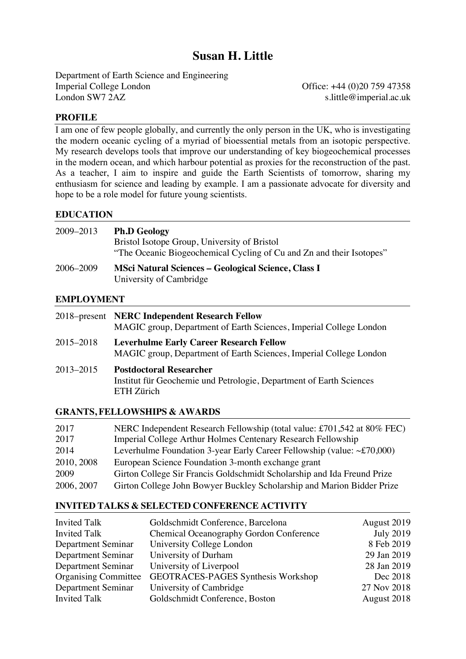# **Susan H. Little**

Department of Earth Science and Engineering Imperial College London Office: +44 (0)20 759 47358<br>
London SW7 2AZ slittle@imperial.ac.uk

s.little@imperial.ac.uk

### **PROFILE**

I am one of few people globally, and currently the only person in the UK, who is investigating the modern oceanic cycling of a myriad of bioessential metals from an isotopic perspective. My research develops tools that improve our understanding of key biogeochemical processes in the modern ocean, and which harbour potential as proxies for the reconstruction of the past. As a teacher, I aim to inspire and guide the Earth Scientists of tomorrow, sharing my enthusiasm for science and leading by example. I am a passionate advocate for diversity and hope to be a role model for future young scientists.

### **EDUCATION**

| 2009–2013 | <b>Ph.D Geology</b><br>Bristol Isotope Group, University of Bristol<br>"The Oceanic Biogeochemical Cycling of Cu and Zn and their Isotopes" |
|-----------|---------------------------------------------------------------------------------------------------------------------------------------------|
| 2006–2009 | <b>MSci Natural Sciences - Geological Science, Class I</b><br>University of Cambridge                                                       |

### **EMPLOYMENT**

|           | 2018–present NERC Independent Research Fellow<br>MAGIC group, Department of Earth Sciences, Imperial College London  |
|-----------|----------------------------------------------------------------------------------------------------------------------|
| 2015-2018 | <b>Leverhulme Early Career Research Fellow</b><br>MAGIC group, Department of Earth Sciences, Imperial College London |
| 2013-2015 | <b>Postdoctoral Researcher</b><br>Institut für Geochemie und Petrologie, Department of Earth Sciences<br>ETH Zürich  |

### **GRANTS, FELLOWSHIPS & AWARDS**

| 2017       | NERC Independent Research Fellowship (total value: £701,542 at 80% FEC)      |
|------------|------------------------------------------------------------------------------|
| 2017       | Imperial College Arthur Holmes Centenary Research Fellowship                 |
| 2014       | Leverhulme Foundation 3-year Early Career Fellowship (value: $\sim$ £70,000) |
| 2010, 2008 | European Science Foundation 3-month exchange grant                           |
| 2009       | Girton College Sir Francis Goldschmidt Scholarship and Ida Freund Prize      |
| 2006, 2007 | Girton College John Bowyer Buckley Scholarship and Marion Bidder Prize       |

#### **INVITED TALKS & SELECTED CONFERENCE ACTIVITY**

| <b>Invited Talk</b>         | Goldschmidt Conference, Barcelona              | August 2019      |
|-----------------------------|------------------------------------------------|------------------|
| <b>Invited Talk</b>         | <b>Chemical Oceanography Gordon Conference</b> | <b>July 2019</b> |
| Department Seminar          | University College London                      | 8 Feb 2019       |
| Department Seminar          | University of Durham                           | 29 Jan 2019      |
| Department Seminar          | University of Liverpool                        | 28 Jan 2019      |
| <b>Organising Committee</b> | <b>GEOTRACES-PAGES Synthesis Workshop</b>      | Dec 2018         |
| Department Seminar          | University of Cambridge                        | 27 Nov 2018      |
| <b>Invited Talk</b>         | Goldschmidt Conference, Boston                 | August 2018      |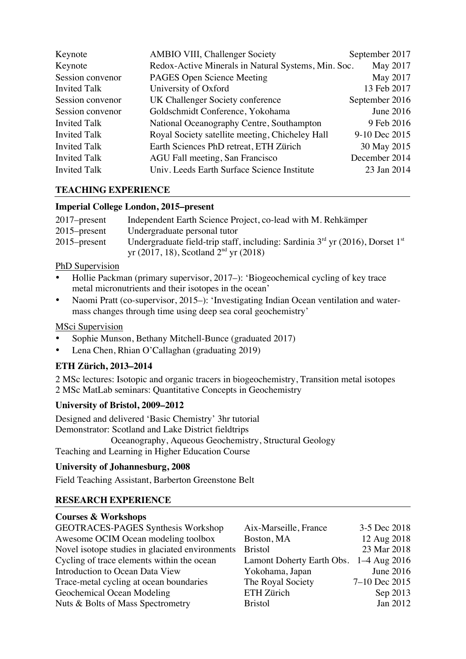| Keynote             | AMBIO VIII, Challenger Society                      | September 2017 |
|---------------------|-----------------------------------------------------|----------------|
| Keynote             | Redox-Active Minerals in Natural Systems, Min. Soc. | May 2017       |
| Session convenor    | PAGES Open Science Meeting                          | May 2017       |
| <b>Invited Talk</b> | University of Oxford                                | 13 Feb 2017    |
| Session convenor    | UK Challenger Society conference                    | September 2016 |
| Session convenor    | Goldschmidt Conference, Yokohama                    | June 2016      |
| <b>Invited Talk</b> | National Oceanography Centre, Southampton           | 9 Feb 2016     |
| <b>Invited Talk</b> | Royal Society satellite meeting, Chicheley Hall     | 9-10 Dec 2015  |
| <b>Invited Talk</b> | Earth Sciences PhD retreat, ETH Zürich              | 30 May 2015    |
| <b>Invited Talk</b> | AGU Fall meeting, San Francisco                     | December 2014  |
| <b>Invited Talk</b> | Univ. Leeds Earth Surface Science Institute         | 23 Jan 2014    |

# **TEACHING EXPERIENCE**

### **Imperial College London, 2015–present**

| Independent Earth Science Project, co-lead with M. Rehkämper                                                                    |
|---------------------------------------------------------------------------------------------------------------------------------|
| Undergraduate personal tutor                                                                                                    |
| Undergraduate field-trip staff, including: Sardinia $3rd$ yr (2016), Dorset $1st$<br>yr (2017, 18), Scotland $2^{nd}$ yr (2018) |
|                                                                                                                                 |

# PhD Supervision

- Hollie Packman (primary supervisor, 2017–): 'Biogeochemical cycling of key trace metal micronutrients and their isotopes in the ocean'
- Naomi Pratt (co-supervisor, 2015–): 'Investigating Indian Ocean ventilation and watermass changes through time using deep sea coral geochemistry'

# MSci Supervision

- Sophie Munson, Bethany Mitchell-Bunce (graduated 2017)
- Lena Chen, Rhian O'Callaghan (graduating 2019)

# **ETH Zürich, 2013–2014**

2 MSc lectures: Isotopic and organic tracers in biogeochemistry, Transition metal isotopes 2 MSc MatLab seminars: Quantitative Concepts in Geochemistry

# **University of Bristol, 2009–2012**

Designed and delivered 'Basic Chemistry' 3hr tutorial Demonstrator: Scotland and Lake District fieldtrips Oceanography, Aqueous Geochemistry, Structural Geology Teaching and Learning in Higher Education Course

# **University of Johannesburg, 2008**

Field Teaching Assistant, Barberton Greenstone Belt

# **RESEARCH EXPERIENCE**

# **Courses & Workshops**

| GEOTRACES-PAGES Synthesis Workshop              | Aix-Marseille, France     | 3-5 Dec 2018   |
|-------------------------------------------------|---------------------------|----------------|
| Awesome OCIM Ocean modeling toolbox             | Boston, MA                | 12 Aug 2018    |
| Novel isotope studies in glaciated environments | Bristol                   | 23 Mar 2018    |
| Cycling of trace elements within the ocean      | Lamont Doherty Earth Obs. | $1-4$ Aug 2016 |
| Introduction to Ocean Data View                 | Yokohama, Japan           | June 2016      |
| Trace-metal cycling at ocean boundaries         | The Royal Society         | 7-10 Dec 2015  |
| Geochemical Ocean Modeling                      | ETH Zürich                | Sep 2013       |
| Nuts & Bolts of Mass Spectrometry               | <b>Bristol</b>            | Jan 2012       |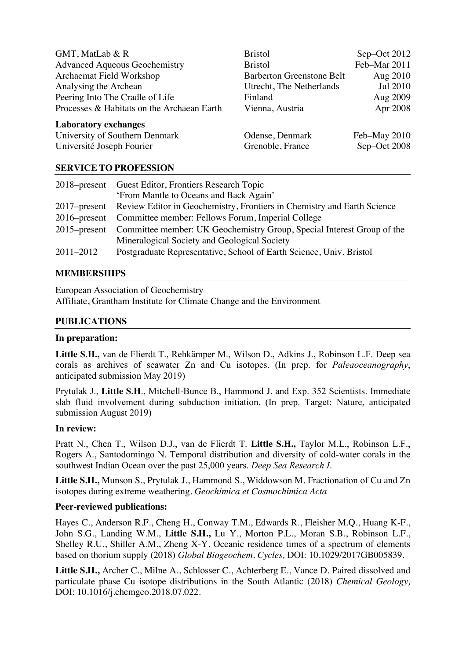| GMT, MatLab & R<br><b>Advanced Aqueous Geochemistry</b> | <b>Bristol</b><br><b>Bristol</b> | Sep-Oct 2012<br>Feb-Mar 2011 |
|---------------------------------------------------------|----------------------------------|------------------------------|
| Archaemat Field Workshop                                | <b>Barberton Greenstone Belt</b> | Aug 2010                     |
| Analysing the Archean                                   | Utrecht, The Netherlands         | Jul 2010                     |
| Peering Into The Cradle of Life                         | Finland                          | Aug 2009                     |
| Processes & Habitats on the Archaean Earth              | Vienna, Austria                  | Apr 2008                     |
| <b>Laboratory exchanges</b>                             |                                  |                              |
| University of Southern Denmark                          | Odense, Denmark                  | Feb-May 2010                 |
| Université Joseph Fourier                               | Grenoble, France                 | Sep-Oct 2008                 |

### **SERVICE TO PROFESSION**

|           | 2018–present Guest Editor, Frontiers Research Topic                                  |
|-----------|--------------------------------------------------------------------------------------|
|           | 'From Mantle to Oceans and Back Again'                                               |
|           | 2017–present Review Editor in Geochemistry, Frontiers in Chemistry and Earth Science |
|           | 2016–present Committee member: Fellows Forum, Imperial College                       |
|           | 2015–present Committee member: UK Geochemistry Group, Special Interest Group of the  |
|           | Mineralogical Society and Geological Society                                         |
| 2011-2012 | Postgraduate Representative, School of Earth Science, Univ. Bristol                  |

#### **MEMBERSHIPS**

European Association of Geochemistry Affiliate, Grantham Institute for Climate Change and the Environment

#### **PUBLICATIONS**

#### **In preparation:**

**Little S.H.,** van de Flierdt T., Rehkämper M., Wilson D., Adkins J., Robinson L.F. Deep sea corals as archives of seawater Zn and Cu isotopes. (In prep. for *Paleaoceanography*, anticipated submission May 2019)

Prytulak J., **Little S.H**., Mitchell-Bunce B., Hammond J. and Exp. 352 Scientists. Immediate slab fluid involvement during subduction initiation. (In prep. Target: Nature, anticipated submission August 2019)

#### **In review:**

Pratt N., Chen T., Wilson D.J., van de Flierdt T. **Little S.H.,** Taylor M.L., Robinson L.F., Rogers A., Santodomingo N. Temporal distribution and diversity of cold-water corals in the southwest Indian Ocean over the past 25,000 years. *Deep Sea Research I*.

**Little S.H.,** Munson S., Prytulak J., Hammond S., Widdowson M. Fractionation of Cu and Zn isotopes during extreme weathering. *Geochimica et Cosmochimica Acta*

#### **Peer-reviewed publications:**

Hayes C., Anderson R.F., Cheng H., Conway T.M., Edwards R., Fleisher M.Q., Huang K-F., John S.G., Landing W.M., **Little S.H.,** Lu Y., Morton P.L., Moran S.B., Robinson L.F., Shelley R.U., Shiller A.M., Zheng X-Y. Oceanic residence times of a spectrum of elements based on thorium supply (2018) *Global Biogeochem. Cycles,* DOI: 10.1029/2017GB005839.

**Little S.H.,** Archer C., Milne A., Schlosser C., Achterberg E., Vance D. Paired dissolved and particulate phase Cu isotope distributions in the South Atlantic (2018) *Chemical Geology,*  DOI: 10.1016/j.chemgeo.2018.07.022*.*